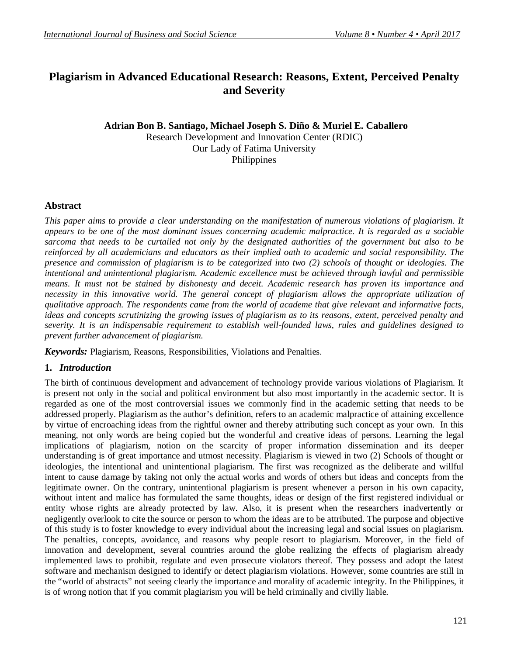# **Plagiarism in Advanced Educational Research: Reasons, Extent, Perceived Penalty and Severity**

# **Adrian Bon B. Santiago, Michael Joseph S. Diño & Muriel E. Caballero** Research Development and Innovation Center (RDIC) Our Lady of Fatima University Philippines

## **Abstract**

*This paper aims to provide a clear understanding on the manifestation of numerous violations of plagiarism. It appears to be one of the most dominant issues concerning academic malpractice. It is regarded as a sociable sarcoma that needs to be curtailed not only by the designated authorities of the government but also to be reinforced by all academicians and educators as their implied oath to academic and social responsibility. The presence and commission of plagiarism is to be categorized into two (2) schools of thought or ideologies. The intentional and unintentional plagiarism. Academic excellence must be achieved through lawful and permissible means. It must not be stained by dishonesty and deceit. Academic research has proven its importance and necessity in this innovative world. The general concept of plagiarism allows the appropriate utilization of qualitative approach. The respondents came from the world of academe that give relevant and informative facts, ideas and concepts scrutinizing the growing issues of plagiarism as to its reasons, extent, perceived penalty and severity. It is an indispensable requirement to establish well-founded laws, rules and guidelines designed to prevent further advancement of plagiarism.*

*Keywords:* Plagiarism, Reasons, Responsibilities, Violations and Penalties.

# **1.** *Introduction*

The birth of continuous development and advancement of technology provide various violations of Plagiarism. It is present not only in the social and political environment but also most importantly in the academic sector. It is regarded as one of the most controversial issues we commonly find in the academic setting that needs to be addressed properly. Plagiarism as the author's definition, refers to an academic malpractice of attaining excellence by virtue of encroaching ideas from the rightful owner and thereby attributing such concept as your own. In this meaning, not only words are being copied but the wonderful and creative ideas of persons. Learning the legal implications of plagiarism, notion on the scarcity of proper information dissemination and its deeper understanding is of great importance and utmost necessity. Plagiarism is viewed in two (2) Schools of thought or ideologies, the intentional and unintentional plagiarism. The first was recognized as the deliberate and willful intent to cause damage by taking not only the actual works and words of others but ideas and concepts from the legitimate owner. On the contrary, unintentional plagiarism is present whenever a person in his own capacity, without intent and malice has formulated the same thoughts, ideas or design of the first registered individual or entity whose rights are already protected by law. Also, it is present when the researchers inadvertently or negligently overlook to cite the source or person to whom the ideas are to be attributed. The purpose and objective of this study is to foster knowledge to every individual about the increasing legal and social issues on plagiarism. The penalties, concepts, avoidance, and reasons why people resort to plagiarism. Moreover, in the field of innovation and development, several countries around the globe realizing the effects of plagiarism already implemented laws to prohibit, regulate and even prosecute violators thereof. They possess and adopt the latest software and mechanism designed to identify or detect plagiarism violations. However, some countries are still in the "world of abstracts" not seeing clearly the importance and morality of academic integrity. In the Philippines, it is of wrong notion that if you commit plagiarism you will be held criminally and civilly liable.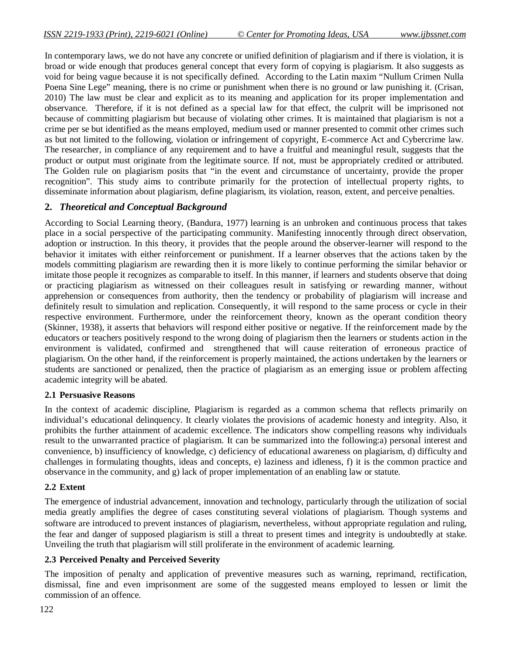In contemporary laws, we do not have any concrete or unified definition of plagiarism and if there is violation, it is broad or wide enough that produces general concept that every form of copying is plagiarism. It also suggests as void for being vague because it is not specifically defined. According to the Latin maxim "Nullum Crimen Nulla Poena Sine Lege" meaning, there is no crime or punishment when there is no ground or law punishing it. (Crisan, 2010) The law must be clear and explicit as to its meaning and application for its proper implementation and observance. Therefore, if it is not defined as a special law for that effect, the culprit will be imprisoned not because of committing plagiarism but because of violating other crimes. It is maintained that plagiarism is not a crime per se but identified as the means employed, medium used or manner presented to commit other crimes such as but not limited to the following, violation or infringement of copyright, E-commerce Act and Cybercrime law. The researcher, in compliance of any requirement and to have a fruitful and meaningful result, suggests that the product or output must originate from the legitimate source. If not, must be appropriately credited or attributed. The Golden rule on plagiarism posits that "in the event and circumstance of uncertainty, provide the proper recognition". This study aims to contribute primarily for the protection of intellectual property rights, to disseminate information about plagiarism, define plagiarism, its violation, reason, extent, and perceive penalties.

## **2.** *Theoretical and Conceptual Background*

According to Social Learning theory, (Bandura, 1977) learning is an unbroken and continuous process that takes place in a social perspective of the participating community. Manifesting innocently through direct observation, adoption or instruction. In this theory, it provides that the people around the observer-learner will respond to the behavior it imitates with either reinforcement or punishment. If a learner observes that the actions taken by the models committing plagiarism are rewarding then it is more likely to continue performing the similar behavior or imitate those people it recognizes as comparable to itself. In this manner, if learners and students observe that doing or practicing plagiarism as witnessed on their colleagues result in satisfying or rewarding manner, without apprehension or consequences from authority, then the tendency or probability of plagiarism will increase and definitely result to simulation and replication. Consequently, it will respond to the same process or cycle in their respective environment. Furthermore, under the reinforcement theory, known as the operant condition theory (Skinner, 1938), it asserts that behaviors will respond either positive or negative. If the reinforcement made by the educators or teachers positively respond to the wrong doing of plagiarism then the learners or students action in the environment is validated, confirmed and strengthened that will cause reiteration of erroneous practice of plagiarism. On the other hand, if the reinforcement is properly maintained, the actions undertaken by the learners or students are sanctioned or penalized, then the practice of plagiarism as an emerging issue or problem affecting academic integrity will be abated.

#### **2.1 Persuasive Reasons**

In the context of academic discipline, Plagiarism is regarded as a common schema that reflects primarily on individual's educational delinquency. It clearly violates the provisions of academic honesty and integrity. Also, it prohibits the further attainment of academic excellence. The indicators show compelling reasons why individuals result to the unwarranted practice of plagiarism. It can be summarized into the following:a) personal interest and convenience, b) insufficiency of knowledge, c) deficiency of educational awareness on plagiarism, d) difficulty and challenges in formulating thoughts, ideas and concepts, e) laziness and idleness, f) it is the common practice and observance in the community, and g) lack of proper implementation of an enabling law or statute.

#### **2.2 Extent**

The emergence of industrial advancement, innovation and technology, particularly through the utilization of social media greatly amplifies the degree of cases constituting several violations of plagiarism. Though systems and software are introduced to prevent instances of plagiarism, nevertheless, without appropriate regulation and ruling, the fear and danger of supposed plagiarism is still a threat to present times and integrity is undoubtedly at stake. Unveiling the truth that plagiarism will still proliferate in the environment of academic learning.

#### **2.3 Perceived Penalty and Perceived Severity**

The imposition of penalty and application of preventive measures such as warning, reprimand, rectification, dismissal, fine and even imprisonment are some of the suggested means employed to lessen or limit the commission of an offence.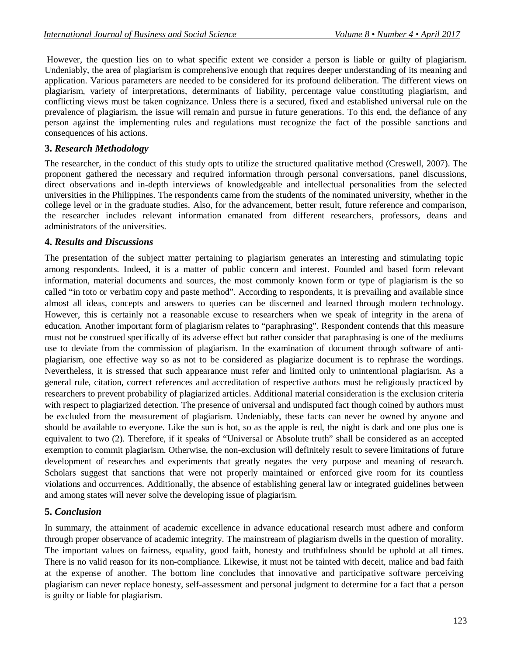However, the question lies on to what specific extent we consider a person is liable or guilty of plagiarism. Undeniably, the area of plagiarism is comprehensive enough that requires deeper understanding of its meaning and application. Various parameters are needed to be considered for its profound deliberation. The different views on plagiarism, variety of interpretations, determinants of liability, percentage value constituting plagiarism, and conflicting views must be taken cognizance. Unless there is a secured, fixed and established universal rule on the prevalence of plagiarism, the issue will remain and pursue in future generations. To this end, the defiance of any person against the implementing rules and regulations must recognize the fact of the possible sanctions and consequences of his actions.

# **3.** *Research Methodology*

The researcher, in the conduct of this study opts to utilize the structured qualitative method (Creswell, 2007). The proponent gathered the necessary and required information through personal conversations, panel discussions, direct observations and in-depth interviews of knowledgeable and intellectual personalities from the selected universities in the Philippines. The respondents came from the students of the nominated university, whether in the college level or in the graduate studies. Also, for the advancement, better result, future reference and comparison, the researcher includes relevant information emanated from different researchers, professors, deans and administrators of the universities.

## **4.** *Results and Discussions*

The presentation of the subject matter pertaining to plagiarism generates an interesting and stimulating topic among respondents. Indeed, it is a matter of public concern and interest. Founded and based form relevant information, material documents and sources, the most commonly known form or type of plagiarism is the so called "in toto or verbatim copy and paste method". According to respondents, it is prevailing and available since almost all ideas, concepts and answers to queries can be discerned and learned through modern technology. However, this is certainly not a reasonable excuse to researchers when we speak of integrity in the arena of education. Another important form of plagiarism relates to "paraphrasing". Respondent contends that this measure must not be construed specifically of its adverse effect but rather consider that paraphrasing is one of the mediums use to deviate from the commission of plagiarism. In the examination of document through software of antiplagiarism, one effective way so as not to be considered as plagiarize document is to rephrase the wordings. Nevertheless, it is stressed that such appearance must refer and limited only to unintentional plagiarism. As a general rule, citation, correct references and accreditation of respective authors must be religiously practiced by researchers to prevent probability of plagiarized articles. Additional material consideration is the exclusion criteria with respect to plagiarized detection. The presence of universal and undisputed fact though coined by authors must be excluded from the measurement of plagiarism. Undeniably, these facts can never be owned by anyone and should be available to everyone. Like the sun is hot, so as the apple is red, the night is dark and one plus one is equivalent to two (2). Therefore, if it speaks of "Universal or Absolute truth" shall be considered as an accepted exemption to commit plagiarism. Otherwise, the non-exclusion will definitely result to severe limitations of future development of researches and experiments that greatly negates the very purpose and meaning of research. Scholars suggest that sanctions that were not properly maintained or enforced give room for its countless violations and occurrences. Additionally, the absence of establishing general law or integrated guidelines between and among states will never solve the developing issue of plagiarism.

# **5.** *Conclusion*

In summary, the attainment of academic excellence in advance educational research must adhere and conform through proper observance of academic integrity. The mainstream of plagiarism dwells in the question of morality. The important values on fairness, equality, good faith, honesty and truthfulness should be uphold at all times. There is no valid reason for its non-compliance. Likewise, it must not be tainted with deceit, malice and bad faith at the expense of another. The bottom line concludes that innovative and participative software perceiving plagiarism can never replace honesty, self-assessment and personal judgment to determine for a fact that a person is guilty or liable for plagiarism.